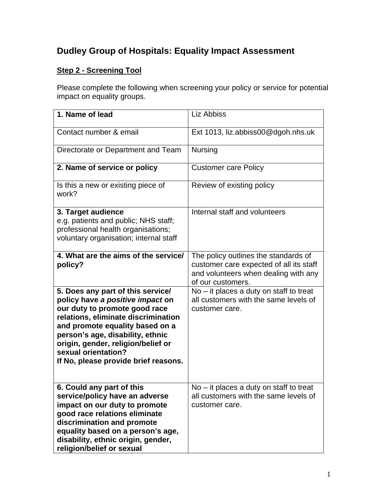## **Dudley Group of Hospitals: Equality Impact Assessment**

## **Step 2 - Screening Tool**

Please complete the following when screening your policy or service for potential impact on equality groups.

| 1. Name of lead                                                                                                                                                                                                                                                                                                           | Liz Abbiss                                                                                                                                   |
|---------------------------------------------------------------------------------------------------------------------------------------------------------------------------------------------------------------------------------------------------------------------------------------------------------------------------|----------------------------------------------------------------------------------------------------------------------------------------------|
| Contact number & email                                                                                                                                                                                                                                                                                                    | Ext 1013, liz.abbiss00@dgoh.nhs.uk                                                                                                           |
| Directorate or Department and Team                                                                                                                                                                                                                                                                                        | <b>Nursing</b>                                                                                                                               |
| 2. Name of service or policy                                                                                                                                                                                                                                                                                              | <b>Customer care Policy</b>                                                                                                                  |
| Is this a new or existing piece of<br>work?                                                                                                                                                                                                                                                                               | Review of existing policy                                                                                                                    |
| 3. Target audience<br>e.g. patients and public; NHS staff;<br>professional health organisations;<br>voluntary organisation; internal staff                                                                                                                                                                                | Internal staff and volunteers                                                                                                                |
| 4. What are the aims of the service/<br>policy?                                                                                                                                                                                                                                                                           | The policy outlines the standards of<br>customer care expected of all its staff<br>and volunteers when dealing with any<br>of our customers. |
| 5. Does any part of this service/<br>policy have a positive impact on<br>our duty to promote good race<br>relations, eliminate discrimination<br>and promote equality based on a<br>person's age, disability, ethnic<br>origin, gender, religion/belief or<br>sexual orientation?<br>If No, please provide brief reasons. | No - it places a duty on staff to treat<br>all customers with the same levels of<br>customer care.                                           |
| 6. Could any part of this<br>service/policy have an adverse<br>impact on our duty to promote<br>good race relations eliminate<br>discrimination and promote<br>equality based on a person's age,<br>disability, ethnic origin, gender,<br>religion/belief or sexual                                                       | $No - it places a duty on staff to treat$<br>all customers with the same levels of<br>customer care.                                         |